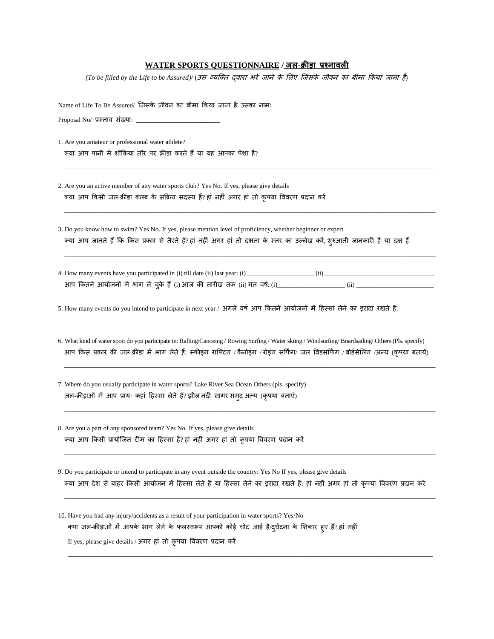## **WATER SPORTS QUESTIONNAIRE / जल-क्रीड़ा प्रश्ऩावली**

*(To be filled by the Life to be Assured)/* (उस व्यक्ति द्वारा भरे जाने के लिए क्जसके जीवन का बीमा ककया जाना है)

| 1. Are you amateur or professional water athlete?<br>क्या आप पानी में शौकिया तौर पर क्रीड़ा करते हैं या यह आपका पेशा है?                                                                                                                                                                           |
|----------------------------------------------------------------------------------------------------------------------------------------------------------------------------------------------------------------------------------------------------------------------------------------------------|
| 2. Are you an active member of any water sports club? Yes No. If yes, please give details<br>क्या आप किसी जल-क्रीड़ा क्लब के सक्रिय सदस्य हैं?हां नहीं अगर हां तो कृपया विवरण प्रदान करें                                                                                                          |
| 3. Do you know how to swim? Yes No. If yes, please mention level of proficiency, whether beginner or expert<br>क्या आप जानते हैं कि किस प्रकार से तैरते हैं?हां नहीं अगर हां तो दक्षता के स्तर का उल्लेख करें, शुरुआती जानकारी है या दक्ष हैं                                                      |
|                                                                                                                                                                                                                                                                                                    |
| 5. How many events do you intend to participate in next year / अगले वर्ष आप कितने आयोजनों में हिस्सा लेने का इरादा रखते हैं:                                                                                                                                                                       |
| 6. What kind of water sport do you participate in: Rafting/Canoeing / Rowing Surfing / Water skiing / Windsurfing/ Boardsailing/ Others (Pls. specify)<br>आप किस प्रकार की जल-क्रीड़ा में भाग लेते हैं: स्कीइंग राफ्टिंग /कैनोइंग /रोइंग सर्फिंग/ जल विंडसर्फिंग /बोर्डसेलिंग /अन्य (कृपया बतायें) |
| 7. Where do you usually participate in water sports? Lake River Sea Ocean Others (pls. specify)<br>जल-क्रीड़ाओं में आप प्रायः कहां हिस्सा लेते हैं? झील नदी सागर समुद्र अन्य (कृपया बताएं)                                                                                                         |
| 8. Are you a part of any sponsored team? Yes No. If yes, please give details<br>क्या आप किसी प्रायोजित टीम का हिस्सा हैं? हां नहीं अगर हां तो कृपया विवरण प्रदान करें                                                                                                                              |
| 9. Do you participate or intend to participate in any event outside the country: Yes No If yes, please give details<br>क्या आप देश से बाहर किसी आयोजन में हिस्सा लेते हैं या हिस्सा लेने का इरादा रखते हैं: हां नहीं अगर हां तो कृपया विवरण प्रदान करें                                            |
| 10. Have you had any injury/accidents as a result of your participation in water sports? Yes/No<br>क्या जल-क्रीड़ाओं में आपके भाग लेने के फलस्वरूप आपको कोई चोट आई है/दुर्घटना के शिकार हुए हैं?हां नहीं<br>If yes, please give details / अगर हां तो कृपया विवरण प्रदान करें                       |